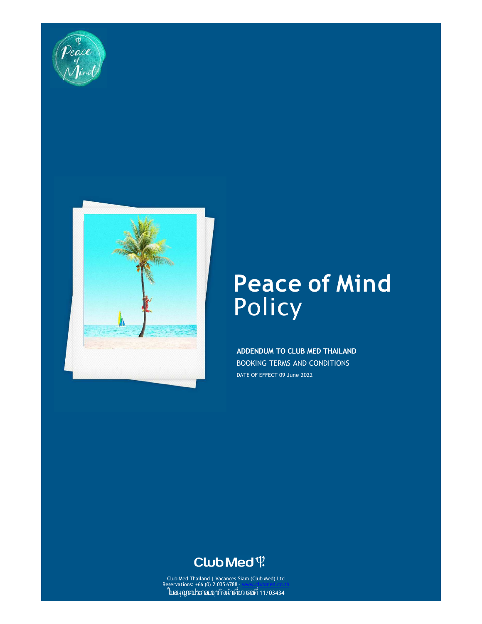



# **Peace of Mind Policy**

**ADDENDUM TO CLUB MED THAILAND**  BOOKING TERMS AND CONDITIONS DATE OF EFFECT 09 June 2022

# $Club$ Med $\Psi$

Club Med Thailand | Vacances Siam (Club Med) Ltd Reservations: +66 (0) 2 035 6788 – www.clubmed.co.th ใบอนุญาตประกอบธุรกิจนําเทียว เลขที 11/03434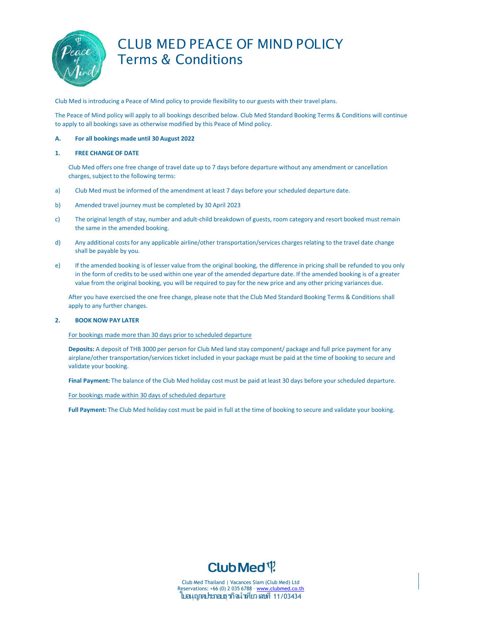

# CLUB MED PEACE OF MIND POLICY Terms & Conditions

Club Med is introducing a Peace of Mind policy to provide flexibility to our guests with their travel plans.

The Peace of Mind policy will apply to all bookings described below. Club Med Standard Booking Terms & Conditions will continue to apply to all bookings save as otherwise modified by this Peace of Mind policy.

### **A. For all bookings made until 30 August 2022**

#### **1. FREE CHANGE OF DATE**

Club Med offers one free change of travel date up to 7 days before departure without any amendment or cancellation charges, subject to the following terms:

- a) Club Med must be informed of the amendment at least 7 days before your scheduled departure date.
- b) Amended travel journey must be completed by 30 April 2023
- c) The original length of stay, number and adult-child breakdown of guests, room category and resort booked must remain the same in the amended booking.
- d) Any additional costs for any applicable airline/other transportation/services charges relating to the travel date change shall be payable by you.
- e) If the amended booking is of lesser value from the original booking, the difference in pricing shall be refunded to you only in the form of credits to be used within one year of the amended departure date. If the amended booking is of a greater value from the original booking, you will be required to pay for the new price and any other pricing variances due.

After you have exercised the one free change, please note that the Club Med Standard Booking Terms & Conditions shall apply to any further changes.

#### **2. BOOK NOW PAY LATER**

#### For bookings made more than 30 days prior to scheduled departure

**Deposits:** A deposit of THB 3000 per person for Club Med land stay component/ package and full price payment for any airplane/other transportation/services ticket included in your package must be paid at the time of booking to secure and validate your booking.

**Final Payment:** The balance of the Club Med holiday cost must be paid at least 30 days before your scheduled departure.

For bookings made within 30 days of scheduled departure

**Full Payment:** The Club Med holiday cost must be paid in full at the time of booking to secure and validate your booking.



Club Med Thailand | Vacances Siam (Club Med) Ltd Reservations: +66 (0) 2 035 6788 - www.clubmed.co.th ใบอนุญาตประกอบธุรกิจนําเทียว เลขที 11/03434